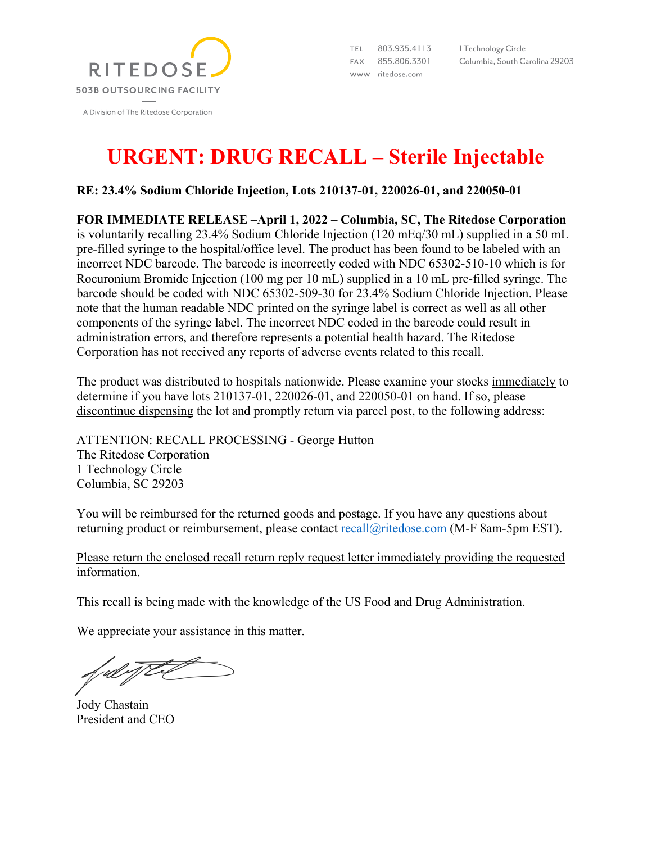

803.935.4113 TEL. FAX 855.806.3301 www ritedose.com

1 Technology Circle Columbia, South Carolina 29203

## **URGENT: DRUG RECALL – Sterile Injectable**

**RE: 23.4% Sodium Chloride Injection, Lots 210137-01, 220026-01, and 220050-01**

**FOR IMMEDIATE RELEASE –April 1, 2022 – Columbia, SC, The Ritedose Corporation** is voluntarily recalling 23.4% Sodium Chloride Injection (120 mEq/30 mL) supplied in a 50 mL pre-filled syringe to the hospital/office level. The product has been found to be labeled with an incorrect NDC barcode. The barcode is incorrectly coded with NDC 65302-510-10 which is for Rocuronium Bromide Injection (100 mg per 10 mL) supplied in a 10 mL pre-filled syringe. The barcode should be coded with NDC 65302-509-30 for 23.4% Sodium Chloride Injection. Please note that the human readable NDC printed on the syringe label is correct as well as all other components of the syringe label. The incorrect NDC coded in the barcode could result in administration errors, and therefore represents a potential health hazard. The Ritedose Corporation has not received any reports of adverse events related to this recall.

The product was distributed to hospitals nationwide. Please examine your stocks immediately to determine if you have lots 210137-01, 220026-01, and 220050-01 on hand. If so, please discontinue dispensing the lot and promptly return via parcel post, to the following address:

ATTENTION: RECALL PROCESSING - George Hutton The Ritedose Corporation 1 Technology Circle Columbia, SC 29203

You will be reimbursed for the returned goods and postage. If you have any questions about returning product or reimbursement, please contact recall@ritedose.com (M-F 8am-5pm EST).

Please return the enclosed recall return reply request letter immediately providing the requested information.

This recall is being made with the knowledge of the US Food and Drug Administration.

We appreciate your assistance in this matter.

Jody Chastain President and CEO